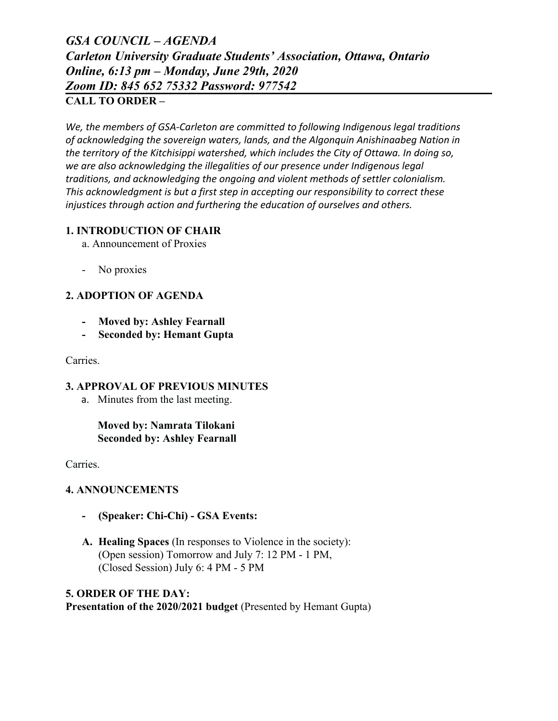# *GSA COUNCIL – AGENDA Carleton University Graduate Students' Association, Ottawa, Ontario Online, 6:13 pm – Monday, June 29th, 2020 Zoom ID: 845 652 75332 Password: 977542* **CALL TO ORDER –**

*We, the members of GSA-Carleton are committed to following Indigenous legal traditions of acknowledging the sovereign waters, lands, and the Algonquin Anishinaabeg Nation in the territory of the Kitchisippi watershed, which includes the City of Ottawa. In doing so, we are also acknowledging the illegalities of our presence under Indigenous legal traditions, and acknowledging the ongoing and violent methods of settler colonialism. This acknowledgment is but a first step in accepting our responsibility to correct these injustices through action and furthering the education of ourselves and others.*

# **1. INTRODUCTION OF CHAIR**

- a. Announcement of Proxies
- No proxies

# **2. ADOPTION OF AGENDA**

- **- Moved by: Ashley Fearnall**
- **- Seconded by: Hemant Gupta**

Carries.

## **3. APPROVAL OF PREVIOUS MINUTES**

a. Minutes from the last meeting.

# **Moved by: Namrata Tilokani Seconded by: Ashley Fearnall**

Carries.

# **4. ANNOUNCEMENTS**

- **- (Speaker: Chi-Chi) GSA Events:**
- **A. Healing Spaces** (In responses to Violence in the society): (Open session) Tomorrow and July 7: 12 PM - 1 PM, (Closed Session) July 6: 4 PM - 5 PM

## **5. ORDER OF THE DAY:**

**Presentation of the 2020/2021 budget** (Presented by Hemant Gupta)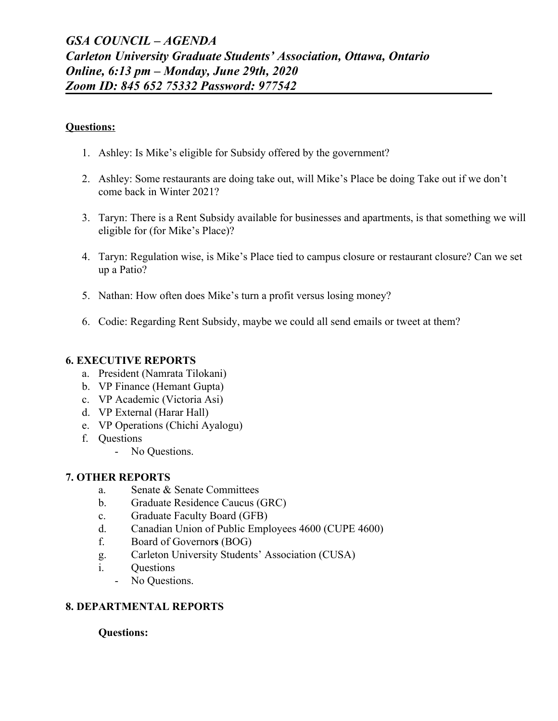#### **Questions:**

- 1. Ashley: Is Mike's eligible for Subsidy offered by the government?
- 2. Ashley: Some restaurants are doing take out, will Mike's Place be doing Take out if we don't come back in Winter 2021?
- 3. Taryn: There is a Rent Subsidy available for businesses and apartments, is that something we will eligible for (for Mike's Place)?
- 4. Taryn: Regulation wise, is Mike's Place tied to campus closure or restaurant closure? Can we set up a Patio?
- 5. Nathan: How often does Mike's turn a profit versus losing money?
- 6. Codie: Regarding Rent Subsidy, maybe we could all send emails or tweet at them?

## **6. EXECUTIVE REPORTS**

- a. President (Namrata Tilokani)
- b. VP Finance (Hemant Gupta)
- c. VP Academic (Victoria Asi)
- d. VP External (Harar Hall)
- e. VP Operations (Chichi Ayalogu)
- f. Questions
	- No Questions.

# **7. OTHER REPORTS**

- a. Senate & Senate Committees
- b. Graduate Residence Caucus (GRC)
- c. Graduate Faculty Board (GFB)
- d. Canadian Union of Public Employees 4600 (CUPE 4600)
- f. Board of Governor**s** (BOG)
- g. Carleton University Students' Association (CUSA)
- i. Questions
	- No Questions.

# **8. DEPARTMENTAL REPORTS**

## **Questions:**